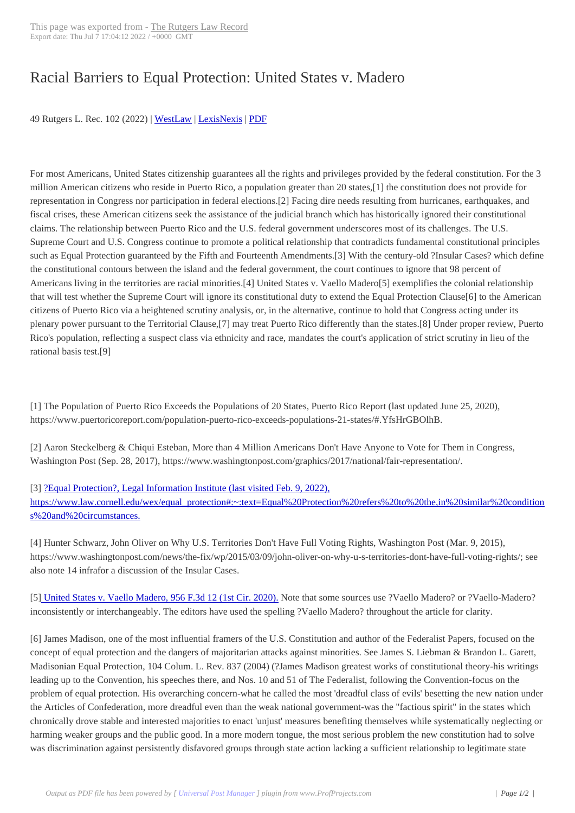## Racial Barriers to [Equal Protection:](https://lawrecord.com/?p=1944) United States v. Madero

49 Rutgers L. Rec. 102 (2022) | WestLaw | LexisNexis | PDF

For most Americans, United St[ates citizen](http://www.westlaw.com/find/default.wl?cite=49+Rutgers+L.+Rec.+102&FindType=F&ForceAction=Y&SV=Full&RS=ITK3.0&VR=1.0)s[hip guarante](http://www.lexis.com/xlink?showcidslinks=on&ORIGINATION_CODE=00142&searchtype=get&search=49 Rutgers L. Rec. 102)[es all](http://lawrecord.com/files/49_Rutgers_L_Rec_102.pdf) the rights and privileges provided by the federal constitution. For the 3 million American citizens who reside in Puerto Rico, a population greater than 20 states,[1] the constitution does not provide for representation in Congress nor participation in federal elections.[2] Facing dire needs resulting from hurricanes, earthquakes, and fiscal crises, these American citizens seek the assistance of the judicial branch which has historically ignored their constitutional claims. The relationship between Puerto Rico and the U.S. federal government underscores most of its challenges. The U.S. Supreme Court and U.S. Congress continue to promote a political relationship that contradicts fundamental constitutional principles such as Equal Protection guaranteed by the Fifth and Fourteenth Amendments.[3] With the century-old ?Insular Cases? which define the constitutional contours between the island and the federal government, the court continues to ignore that 98 percent of Americans living in the territories are racial minorities.[4] United States v. Vaello Madero[5] exemplifies the colonial relationship that will test whether the Supreme Court will ignore its constitutional duty to extend the Equal Protection Clause[6] to the American citizens of Puerto Rico via a heightened scrutiny analysis, or, in the alternative, continue to hold that Congress acting under its plenary power pursuant to the Territorial Clause,[7] may treat Puerto Rico differently than the states.[8] Under proper review, Puerto Rico's population, reflecting a suspect class via ethnicity and race, mandates the court's application of strict scrutiny in lieu of the rational basis test.[9]

[1] The Population of Puerto Rico Exceeds the Populations of 20 States, Puerto Rico Report (last updated June 25, 2020), https://www.puertoricoreport.com/population-puerto-rico-exceeds-populations-21-states/#.YfsHrGBOlhB.

[2] Aaron Steckelberg & Chiqui Esteban, More than 4 Million Americans Don't Have Anyone to Vote for Them in Congress, Washington Post (Sep. 28, 2017), https://www.washingtonpost.com/graphics/2017/national/fair-representation/.

[3] ?Equal Protection?, Legal Information Institute (last visited Feb. 9, 2022), https://www.law.cornell.edu/wex/equal\_protection#:~:text=Equal%20Protection%20refers%20to%20the,in%20similar%20condition s%20and%20circumstances.

[4] [Hunter Schwarz, John Oliver on Why U.S. Territories Don't Have Full Vo](https://www.law.cornell.edu/wex/equal_protection#:~:text=Equal%20Protection%20refers%20to%20the,in%20similar%20conditions%20and%20circumstances)ting Rights, Washington Post (Mar. 9, 2015), [https://www.washingtonpost.com/news/the-fix/wp/2015/03/09/john-oliver-on-why-u-s-territories-dont-have-full-voting-rights/; see](https://www.law.cornell.edu/wex/equal_protection#:~:text=Equal%20Protection%20refers%20to%20the,in%20similar%20conditions%20and%20circumstances) also note 14 infrafor a discussion of the Insular Cases.

[5] United States v. Vaello Madero, 956 F.3d 12 (1st Cir. 2020). Note that some sources use ?Vaello Madero? or ?Vaello-Madero? inconsistently or interchangeably. The editors have used the spelling ?Vaello Madero? throughout the article for clarity.

[6] [James Madison, one of the most influential framers of the U.](https://casetext.com/case/united-states-v-vaello-madero-1)S. Constitution and author of the Federalist Papers, focused on the concept of equal protection and the dangers of majoritarian attacks against minorities. See James S. Liebman & Brandon L. Garett, Madisonian Equal Protection, 104 Colum. L. Rev. 837 (2004) (?James Madison greatest works of constitutional theory-his writings leading up to the Convention, his speeches there, and Nos. 10 and 51 of The Federalist, following the Convention-focus on the problem of equal protection. His overarching concern-what he called the most 'dreadful class of evils' besetting the new nation under the Articles of Confederation, more dreadful even than the weak national government-was the "factious spirit" in the states which chronically drove stable and interested majorities to enact 'unjust' measures benefiting themselves while systematically neglecting or harming weaker groups and the public good. In a more modern tongue, the most serious problem the new constitution had to solve was discrimination against persistently disfavored groups through state action lacking a sufficient relationship to legitimate state